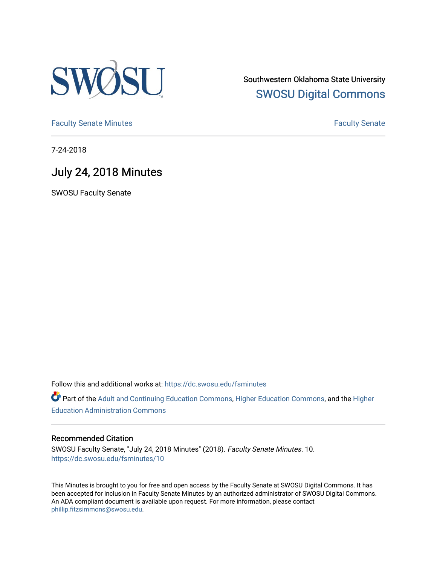

Southwestern Oklahoma State University [SWOSU Digital Commons](https://dc.swosu.edu/) 

[Faculty Senate Minutes](https://dc.swosu.edu/fsminutes) **Faculty** Senate Minutes

7-24-2018

## July 24, 2018 Minutes

SWOSU Faculty Senate

Follow this and additional works at: [https://dc.swosu.edu/fsminutes](https://dc.swosu.edu/fsminutes?utm_source=dc.swosu.edu%2Ffsminutes%2F10&utm_medium=PDF&utm_campaign=PDFCoverPages) 

Part of the [Adult and Continuing Education Commons,](http://network.bepress.com/hgg/discipline/1375?utm_source=dc.swosu.edu%2Ffsminutes%2F10&utm_medium=PDF&utm_campaign=PDFCoverPages) [Higher Education Commons,](http://network.bepress.com/hgg/discipline/1245?utm_source=dc.swosu.edu%2Ffsminutes%2F10&utm_medium=PDF&utm_campaign=PDFCoverPages) and the [Higher](http://network.bepress.com/hgg/discipline/791?utm_source=dc.swosu.edu%2Ffsminutes%2F10&utm_medium=PDF&utm_campaign=PDFCoverPages) [Education Administration Commons](http://network.bepress.com/hgg/discipline/791?utm_source=dc.swosu.edu%2Ffsminutes%2F10&utm_medium=PDF&utm_campaign=PDFCoverPages) 

#### Recommended Citation

SWOSU Faculty Senate, "July 24, 2018 Minutes" (2018). Faculty Senate Minutes. 10. [https://dc.swosu.edu/fsminutes/10](https://dc.swosu.edu/fsminutes/10?utm_source=dc.swosu.edu%2Ffsminutes%2F10&utm_medium=PDF&utm_campaign=PDFCoverPages) 

This Minutes is brought to you for free and open access by the Faculty Senate at SWOSU Digital Commons. It has been accepted for inclusion in Faculty Senate Minutes by an authorized administrator of SWOSU Digital Commons. An ADA compliant document is available upon request. For more information, please contact [phillip.fitzsimmons@swosu.edu](mailto:phillip.fitzsimmons@swosu.edu).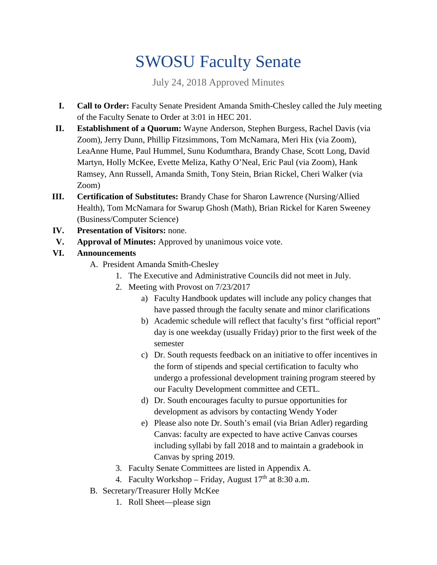# SWOSU Faculty Senate

July 24, 2018 Approved Minutes

- **I. Call to Order:** Faculty Senate President Amanda Smith-Chesley called the July meeting of the Faculty Senate to Order at 3:01 in HEC 201.
- **II. Establishment of a Quorum:** Wayne Anderson, Stephen Burgess, Rachel Davis (via Zoom), Jerry Dunn, Phillip Fitzsimmons, Tom McNamara, Meri Hix (via Zoom), LeaAnne Hume, Paul Hummel, Sunu Kodumthara, Brandy Chase, Scott Long, David Martyn, Holly McKee, Evette Meliza, Kathy O'Neal, Eric Paul (via Zoom), Hank Ramsey, Ann Russell, Amanda Smith, Tony Stein, Brian Rickel, Cheri Walker (via Zoom)
- **III. Certification of Substitutes:** Brandy Chase for Sharon Lawrence (Nursing/Allied Health), Tom McNamara for Swarup Ghosh (Math), Brian Rickel for Karen Sweeney (Business/Computer Science)
- **IV. Presentation of Visitors:** none.
- **V. Approval of Minutes:** Approved by unanimous voice vote.
- **VI. Announcements**
	- A. President Amanda Smith-Chesley
		- 1. The Executive and Administrative Councils did not meet in July.
		- 2. Meeting with Provost on 7/23/2017
			- a) Faculty Handbook updates will include any policy changes that have passed through the faculty senate and minor clarifications
			- b) Academic schedule will reflect that faculty's first "official report" day is one weekday (usually Friday) prior to the first week of the semester
			- c) Dr. South requests feedback on an initiative to offer incentives in the form of stipends and special certification to faculty who undergo a professional development training program steered by our Faculty Development committee and CETL.
			- d) Dr. South encourages faculty to pursue opportunities for development as advisors by contacting Wendy Yoder
			- e) Please also note Dr. South's email (via Brian Adler) regarding Canvas: faculty are expected to have active Canvas courses including syllabi by fall 2018 and to maintain a gradebook in Canvas by spring 2019.
		- 3. Faculty Senate Committees are listed in Appendix A.
		- 4. Faculty Workshop Friday, August  $17<sup>th</sup>$  at 8:30 a.m.
	- B. Secretary/Treasurer Holly McKee
		- 1. Roll Sheet—please sign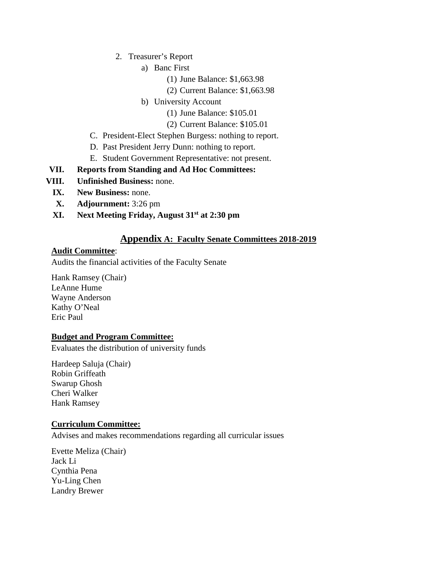- 2. Treasurer's Report
	- a) Banc First
		- (1) June Balance: \$1,663.98
		- (2) Current Balance: \$1,663.98
	- b) University Account
		- (1) June Balance: \$105.01
		- (2) Current Balance: \$105.01
- C. President-Elect Stephen Burgess: nothing to report.
- D. Past President Jerry Dunn: nothing to report.
- E. Student Government Representative: not present.

#### **VII. Reports from Standing and Ad Hoc Committees:**

- **VIII. Unfinished Business:** none.
	- **IX. New Business:** none.
	- **X. Adjournment:** 3:26 pm
	- **XI. Next Meeting Friday, August 31st at 2:30 pm**

### **Appendix A: Faculty Senate Committees 2018-2019**

#### **Audit Committee**:

Audits the financial activities of the Faculty Senate

Hank Ramsey (Chair) LeAnne Hume Wayne Anderson Kathy O'Neal Eric Paul

#### **Budget and Program Committee:**

Evaluates the distribution of university funds

Hardeep Saluja (Chair) Robin Griffeath Swarup Ghosh Cheri Walker Hank Ramsey

#### **Curriculum Committee:**

Advises and makes recommendations regarding all curricular issues

Evette Meliza (Chair) Jack Li Cynthia Pena Yu-Ling Chen Landry Brewer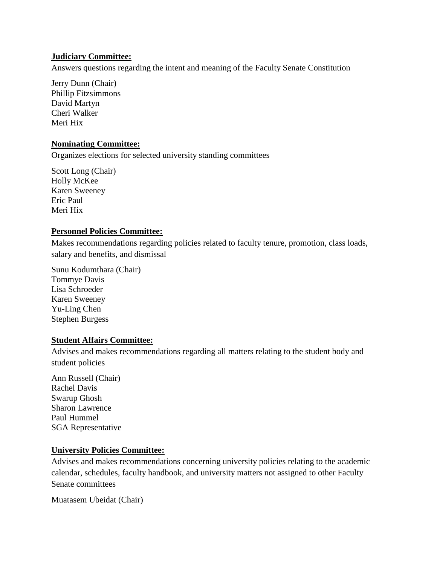#### **Judiciary Committee:**

Answers questions regarding the intent and meaning of the Faculty Senate Constitution

Jerry Dunn (Chair) Phillip Fitzsimmons David Martyn Cheri Walker Meri Hix

#### **Nominating Committee:**

Organizes elections for selected university standing committees

Scott Long (Chair) Holly McKee Karen Sweeney Eric Paul Meri Hix

#### **Personnel Policies Committee:**

Makes recommendations regarding policies related to faculty tenure, promotion, class loads, salary and benefits, and dismissal

Sunu Kodumthara (Chair) Tommye Davis Lisa Schroeder Karen Sweeney Yu-Ling Chen Stephen Burgess

#### **Student Affairs Committee:**

Advises and makes recommendations regarding all matters relating to the student body and student policies

Ann Russell (Chair) Rachel Davis Swarup Ghosh Sharon Lawrence Paul Hummel SGA Representative

#### **University Policies Committee:**

Advises and makes recommendations concerning university policies relating to the academic calendar, schedules, faculty handbook, and university matters not assigned to other Faculty Senate committees

Muatasem Ubeidat (Chair)